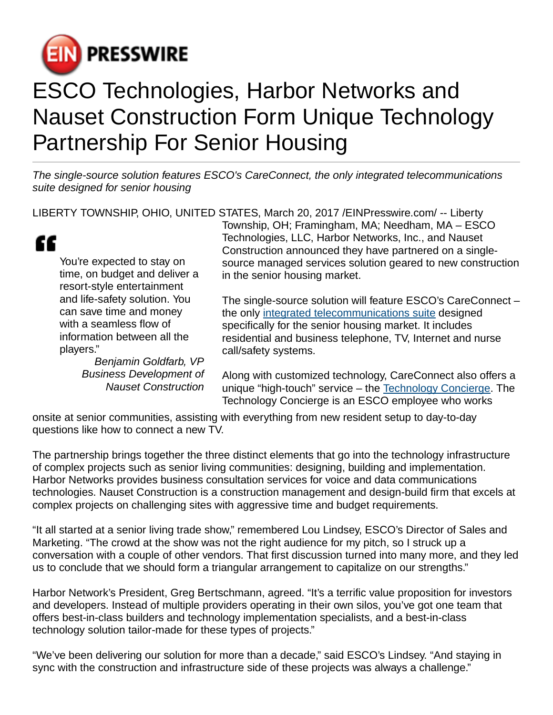

## ESCO Technologies, Harbor Networks and Nauset Construction Form Unique Technology Partnership For Senior Housing

The single-source solution features ESCO's CareConnect, the only integrated telecommunications suite designed for senior housing

LIBERTY TOWNSHIP, OHIO, UNITED STATES, March 20, 2017 [/EINPresswire.com/](http://www.einpresswire.com) -- Liberty



You're expected to stay on time, on budget and deliver a resort-style entertainment and life-safety solution. You can save time and money with a seamless flow of information between all the players."

> Benjamin Goldfarb, VP Business Development of Nauset Construction

Township, OH; Framingham, MA; Needham, MA – ESCO Technologies, LLC, Harbor Networks, Inc., and Nauset Construction announced they have partnered on a singlesource managed services solution geared to new construction in the senior housing market.

The single-source solution will feature ESCO's CareConnect – the only [integrated telecommunications suite](http://careconnectbyesco.com) designed specifically for the senior housing market. It includes residential and business telephone, TV, Internet and nurse call/safety systems.

Along with customized technology, CareConnect also offers a unique "high-touch" service – the [Technology Concierge](http://careconnectbyesco.com/careconnect-technology-concierge/). The Technology Concierge is an ESCO employee who works

onsite at senior communities, assisting with everything from new resident setup to day-to-day questions like how to connect a new TV.

The partnership brings together the three distinct elements that go into the technology infrastructure of complex projects such as senior living communities: designing, building and implementation. Harbor Networks provides business consultation services for voice and data communications technologies. Nauset Construction is a construction management and design-build firm that excels at complex projects on challenging sites with aggressive time and budget requirements.

"It all started at a senior living trade show," remembered Lou Lindsey, ESCO's Director of Sales and Marketing. "The crowd at the show was not the right audience for my pitch, so I struck up a conversation with a couple of other vendors. That first discussion turned into many more, and they led us to conclude that we should form a triangular arrangement to capitalize on our strengths."

Harbor Network's President, Greg Bertschmann, agreed. "It's a terrific value proposition for investors and developers. Instead of multiple providers operating in their own silos, you've got one team that offers best-in-class builders and technology implementation specialists, and a best-in-class technology solution tailor-made for these types of projects."

"We've been delivering our solution for more than a decade," said ESCO's Lindsey. "And staying in sync with the construction and infrastructure side of these projects was always a challenge."